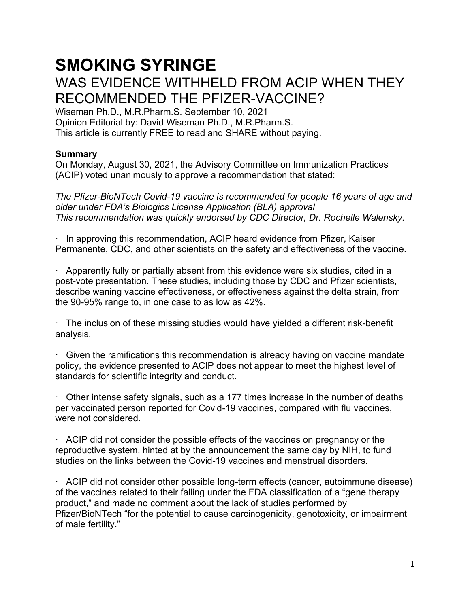# **SMOKING SYRINGE** WAS EVIDENCE WITHHELD FROM ACIP WHEN THEY RECOMMENDED THE PFIZER-VACCINE?

Wiseman Ph.D., M.R.Pharm.S. September 10, 2021 Opinion Editorial by: David Wiseman Ph.D., M.R.Pharm.S. This article is currently FREE to read and SHARE without paying.

# **Summary**

On Monday, August 30, 2021, the Advisory Committee on Immunization Practices (ACIP) voted unanimously to approve a recommendation that stated:

*The Pfizer-BioNTech Covid-19 vaccine is recommended for people 16 years of age and older under FDA's Biologics License Application (BLA) approval This recommendation was quickly endorsed by CDC Director, Dr. Rochelle Walensky.*

· In approving this recommendation, ACIP heard evidence from Pfizer, Kaiser Permanente, CDC, and other scientists on the safety and effectiveness of the vaccine.

· Apparently fully or partially absent from this evidence were six studies, cited in a post-vote presentation. These studies, including those by CDC and Pfizer scientists, describe waning vaccine effectiveness, or effectiveness against the delta strain, from the 90-95% range to, in one case to as low as 42%.

· The inclusion of these missing studies would have yielded a different risk-benefit analysis.

· Given the ramifications this recommendation is already having on vaccine mandate policy, the evidence presented to ACIP does not appear to meet the highest level of standards for scientific integrity and conduct.

· Other intense safety signals, such as a 177 times increase in the number of deaths per vaccinated person reported for Covid-19 vaccines, compared with flu vaccines, were not considered.

· ACIP did not consider the possible effects of the vaccines on pregnancy or the reproductive system, hinted at by the announcement the same day by NIH, to fund studies on the links between the Covid-19 vaccines and menstrual disorders.

· ACIP did not consider other possible long-term effects (cancer, autoimmune disease) of the vaccines related to their falling under the FDA classification of a "gene therapy product," and made no comment about the lack of studies performed by Pfizer/BioNTech "for the potential to cause carcinogenicity, genotoxicity, or impairment of male fertility."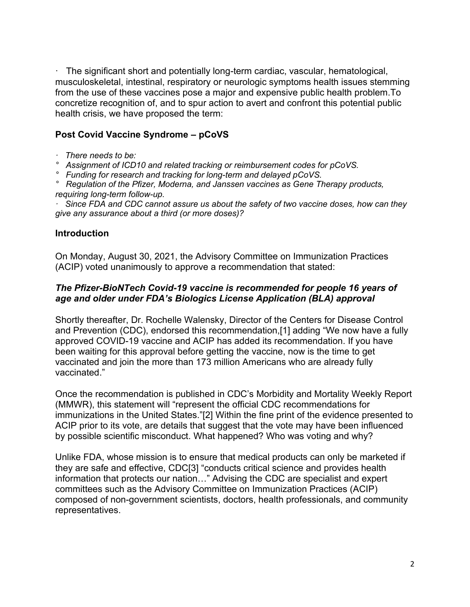· The significant short and potentially long-term cardiac, vascular, hematological, musculoskeletal, intestinal, respiratory or neurologic symptoms health issues stemming from the use of these vaccines pose a major and expensive public health problem.To concretize recognition of, and to spur action to avert and confront this potential public health crisis, we have proposed the term:

# **Post Covid Vaccine Syndrome – pCoVS**

- *· There needs to be:*
- *° Assignment of ICD10 and related tracking or reimbursement codes for pCoVS.*
- *° Funding for research and tracking for long-term and delayed pCoVS.*
- *° Regulation of the Pfizer, Moderna, and Janssen vaccines as Gene Therapy products, requiring long-term follow-up.*

*· Since FDA and CDC cannot assure us about the safety of two vaccine doses, how can they give any assurance about a third (or more doses)?*

#### **Introduction**

On Monday, August 30, 2021, the Advisory Committee on Immunization Practices (ACIP) voted unanimously to approve a recommendation that stated:

#### *The Pfizer-BioNTech Covid-19 vaccine is recommended for people 16 years of age and older under FDA's Biologics License Application (BLA) approval*

Shortly thereafter, Dr. Rochelle Walensky, Director of the Centers for Disease Control and Prevention (CDC), endorsed this recommendation,[1] adding "We now have a fully approved COVID-19 vaccine and ACIP has added its recommendation. If you have been waiting for this approval before getting the vaccine, now is the time to get vaccinated and join the more than 173 million Americans who are already fully vaccinated."

Once the recommendation is published in CDC's Morbidity and Mortality Weekly Report (MMWR), this statement will "represent the official CDC recommendations for immunizations in the United States."[2] Within the fine print of the evidence presented to ACIP prior to its vote, are details that suggest that the vote may have been influenced by possible scientific misconduct. What happened? Who was voting and why?

Unlike FDA, whose mission is to ensure that medical products can only be marketed if they are safe and effective, CDC[3] "conducts critical science and provides health information that protects our nation…" Advising the CDC are specialist and expert committees such as the Advisory Committee on Immunization Practices (ACIP) composed of non-government scientists, doctors, health professionals, and community representatives.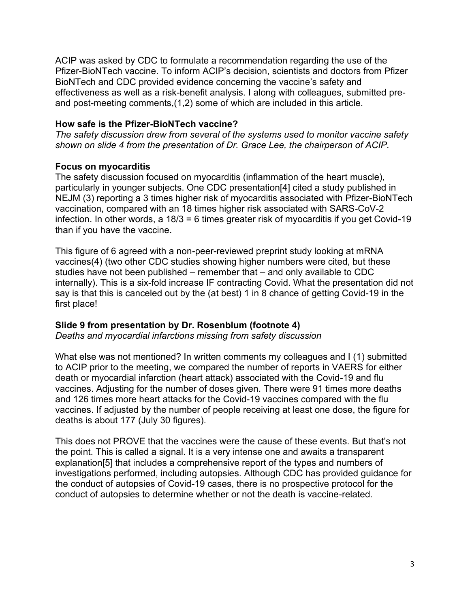ACIP was asked by CDC to formulate a recommendation regarding the use of the Pfizer-BioNTech vaccine. To inform ACIP's decision, scientists and doctors from Pfizer BioNTech and CDC provided evidence concerning the vaccine's safety and effectiveness as well as a risk-benefit analysis. I along with colleagues, submitted preand post-meeting comments,(1,2) some of which are included in this article.

## **How safe is the Pfizer-BioNTech vaccine?**

*The safety discussion drew from several of the systems used to monitor vaccine safety shown on slide 4 from the presentation of Dr. Grace Lee, the chairperson of ACIP.*

# **Focus on myocarditis**

The safety discussion focused on myocarditis (inflammation of the heart muscle), particularly in younger subjects. One CDC presentation[4] cited a study published in NEJM (3) reporting a 3 times higher risk of myocarditis associated with Pfizer-BioNTech vaccination, compared with an 18 times higher risk associated with SARS-CoV-2 infection. In other words, a 18/3 = 6 times greater risk of myocarditis if you get Covid-19 than if you have the vaccine.

This figure of 6 agreed with a non-peer-reviewed preprint study looking at mRNA vaccines(4) (two other CDC studies showing higher numbers were cited, but these studies have not been published – remember that – and only available to CDC internally). This is a six-fold increase IF contracting Covid. What the presentation did not say is that this is canceled out by the (at best) 1 in 8 chance of getting Covid-19 in the first place!

# **Slide 9 from presentation by Dr. Rosenblum (footnote 4)**

*Deaths and myocardial infarctions missing from safety discussion*

What else was not mentioned? In written comments my colleagues and I (1) submitted to ACIP prior to the meeting, we compared the number of reports in VAERS for either death or myocardial infarction (heart attack) associated with the Covid-19 and flu vaccines. Adjusting for the number of doses given. There were 91 times more deaths and 126 times more heart attacks for the Covid-19 vaccines compared with the flu vaccines. If adjusted by the number of people receiving at least one dose, the figure for deaths is about 177 (July 30 figures).

This does not PROVE that the vaccines were the cause of these events. But that's not the point. This is called a signal. It is a very intense one and awaits a transparent explanation[5] that includes a comprehensive report of the types and numbers of investigations performed, including autopsies. Although CDC has provided guidance for the conduct of autopsies of Covid-19 cases, there is no prospective protocol for the conduct of autopsies to determine whether or not the death is vaccine-related.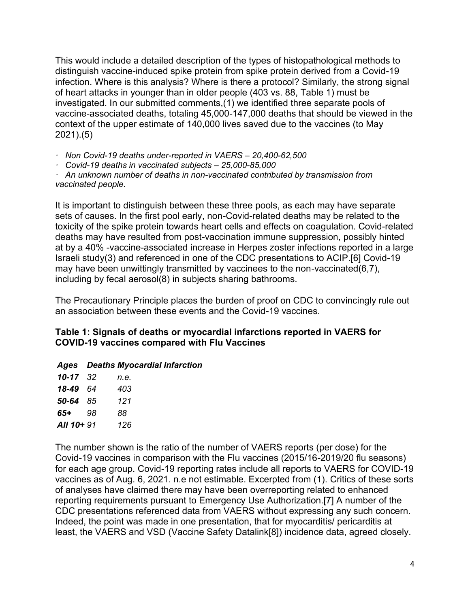This would include a detailed description of the types of histopathological methods to distinguish vaccine-induced spike protein from spike protein derived from a Covid-19 infection. Where is this analysis? Where is there a protocol? Similarly, the strong signal of heart attacks in younger than in older people (403 vs. 88, Table 1) must be investigated. In our submitted comments,(1) we identified three separate pools of vaccine-associated deaths, totaling 45,000-147,000 deaths that should be viewed in the context of the upper estimate of 140,000 lives saved due to the vaccines (to May 2021).(5)

*· Non Covid-19 deaths under-reported in VAERS – 20,400-62,500*

*· Covid-19 deaths in vaccinated subjects – 25,000-85,000*

*· An unknown number of deaths in non-vaccinated contributed by transmission from vaccinated people.*

It is important to distinguish between these three pools, as each may have separate sets of causes. In the first pool early, non-Covid-related deaths may be related to the toxicity of the spike protein towards heart cells and effects on coagulation. Covid-related deaths may have resulted from post-vaccination immune suppression, possibly hinted at by a 40% -vaccine-associated increase in Herpes zoster infections reported in a large Israeli study(3) and referenced in one of the CDC presentations to ACIP.[6] Covid-19 may have been unwittingly transmitted by vaccinees to the non-vaccinated(6,7), including by fecal aerosol(8) in subjects sharing bathrooms.

The Precautionary Principle places the burden of proof on CDC to convincingly rule out an association between these events and the Covid-19 vaccines.

## **Table 1: Signals of deaths or myocardial infarctions reported in VAERS for COVID-19 vaccines compared with Flu Vaccines**

#### *Ages Deaths Myocardial Infarction*

| 10-17      | 32  | n.e. |
|------------|-----|------|
| 18-49      | -64 | 403  |
| 50-64      | -85 | 121  |
| 65+        | 98  | 88   |
| All 10+ 91 |     | 126  |

The number shown is the ratio of the number of VAERS reports (per dose) for the Covid-19 vaccines in comparison with the Flu vaccines (2015/16-2019/20 flu seasons) for each age group. Covid-19 reporting rates include all reports to VAERS for COVID-19 vaccines as of Aug. 6, 2021. n.e not estimable. Excerpted from (1). Critics of these sorts of analyses have claimed there may have been overreporting related to enhanced reporting requirements pursuant to Emergency Use Authorization.[7] A number of the CDC presentations referenced data from VAERS without expressing any such concern. Indeed, the point was made in one presentation, that for myocarditis/ pericarditis at least, the VAERS and VSD (Vaccine Safety Datalink[8]) incidence data, agreed closely.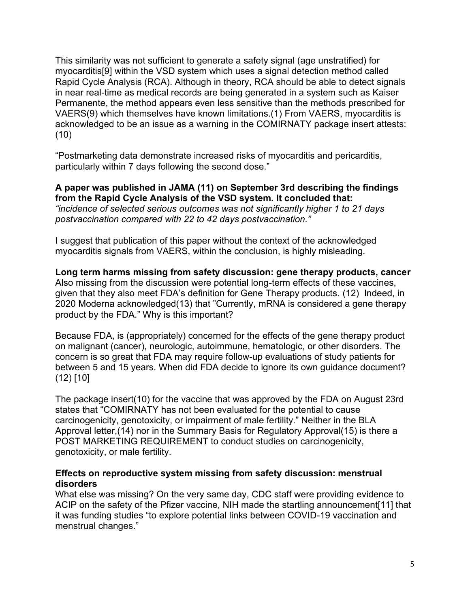This similarity was not sufficient to generate a safety signal (age unstratified) for myocarditis[9] within the VSD system which uses a signal detection method called Rapid Cycle Analysis (RCA). Although in theory, RCA should be able to detect signals in near real-time as medical records are being generated in a system such as Kaiser Permanente, the method appears even less sensitive than the methods prescribed for VAERS(9) which themselves have known limitations.(1) From VAERS, myocarditis is acknowledged to be an issue as a warning in the COMIRNATY package insert attests: (10)

"Postmarketing data demonstrate increased risks of myocarditis and pericarditis, particularly within 7 days following the second dose."

**A paper was published in JAMA (11) on September 3rd describing the findings from the Rapid Cycle Analysis of the VSD system. It concluded that:** *"incidence of selected serious outcomes was not significantly higher 1 to 21 days postvaccination compared with 22 to 42 days postvaccination."*

I suggest that publication of this paper without the context of the acknowledged myocarditis signals from VAERS, within the conclusion, is highly misleading.

**Long term harms missing from safety discussion: gene therapy products, cancer** Also missing from the discussion were potential long-term effects of these vaccines, given that they also meet FDA's definition for Gene Therapy products. (12) Indeed, in 2020 Moderna acknowledged(13) that "Currently, mRNA is considered a gene therapy product by the FDA." Why is this important?

Because FDA, is (appropriately) concerned for the effects of the gene therapy product on malignant (cancer), neurologic, autoimmune, hematologic, or other disorders. The concern is so great that FDA may require follow-up evaluations of study patients for between 5 and 15 years. When did FDA decide to ignore its own guidance document? (12) [10]

The package insert(10) for the vaccine that was approved by the FDA on August 23rd states that "COMIRNATY has not been evaluated for the potential to cause carcinogenicity, genotoxicity, or impairment of male fertility." Neither in the BLA Approval letter,(14) nor in the Summary Basis for Regulatory Approval(15) is there a POST MARKETING REQUIREMENT to conduct studies on carcinogenicity, genotoxicity, or male fertility.

#### **Effects on reproductive system missing from safety discussion: menstrual disorders**

What else was missing? On the very same day, CDC staff were providing evidence to ACIP on the safety of the Pfizer vaccine, NIH made the startling announcement[11] that it was funding studies "to explore potential links between COVID-19 vaccination and menstrual changes."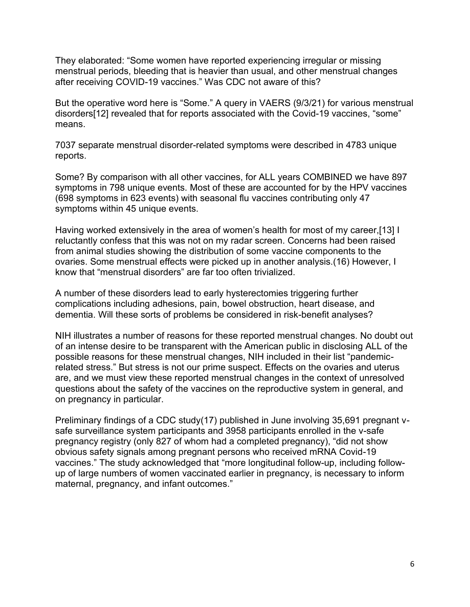They elaborated: "Some women have reported experiencing irregular or missing menstrual periods, bleeding that is heavier than usual, and other menstrual changes after receiving COVID-19 vaccines." Was CDC not aware of this?

But the operative word here is "Some." A query in VAERS (9/3/21) for various menstrual disorders[12] revealed that for reports associated with the Covid-19 vaccines, "some" means.

7037 separate menstrual disorder-related symptoms were described in 4783 unique reports.

Some? By comparison with all other vaccines, for ALL years COMBINED we have 897 symptoms in 798 unique events. Most of these are accounted for by the HPV vaccines (698 symptoms in 623 events) with seasonal flu vaccines contributing only 47 symptoms within 45 unique events.

Having worked extensively in the area of women's health for most of my career,[13] I reluctantly confess that this was not on my radar screen. Concerns had been raised from animal studies showing the distribution of some vaccine components to the ovaries. Some menstrual effects were picked up in another analysis.(16) However, I know that "menstrual disorders" are far too often trivialized.

A number of these disorders lead to early hysterectomies triggering further complications including adhesions, pain, bowel obstruction, heart disease, and dementia. Will these sorts of problems be considered in risk-benefit analyses?

NIH illustrates a number of reasons for these reported menstrual changes. No doubt out of an intense desire to be transparent with the American public in disclosing ALL of the possible reasons for these menstrual changes, NIH included in their list "pandemicrelated stress." But stress is not our prime suspect. Effects on the ovaries and uterus are, and we must view these reported menstrual changes in the context of unresolved questions about the safety of the vaccines on the reproductive system in general, and on pregnancy in particular.

Preliminary findings of a CDC study(17) published in June involving 35,691 pregnant vsafe surveillance system participants and 3958 participants enrolled in the v-safe pregnancy registry (only 827 of whom had a completed pregnancy), "did not show obvious safety signals among pregnant persons who received mRNA Covid-19 vaccines." The study acknowledged that "more longitudinal follow-up, including followup of large numbers of women vaccinated earlier in pregnancy, is necessary to inform maternal, pregnancy, and infant outcomes."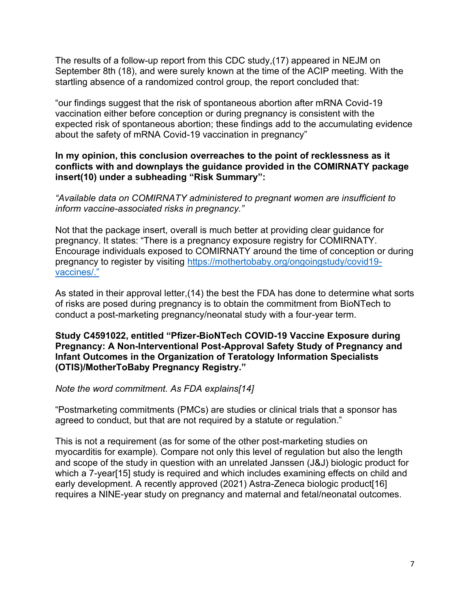The results of a follow-up report from this CDC study,(17) appeared in NEJM on September 8th (18), and were surely known at the time of the ACIP meeting. With the startling absence of a randomized control group, the report concluded that:

"our findings suggest that the risk of spontaneous abortion after mRNA Covid-19 vaccination either before conception or during pregnancy is consistent with the expected risk of spontaneous abortion; these findings add to the accumulating evidence about the safety of mRNA Covid-19 vaccination in pregnancy"

#### **In my opinion, this conclusion overreaches to the point of recklessness as it conflicts with and downplays the guidance provided in the COMIRNATY package insert(10) under a subheading "Risk Summary":**

#### *"Available data on COMIRNATY administered to pregnant women are insufficient to inform vaccine-associated risks in pregnancy."*

Not that the package insert, overall is much better at providing clear guidance for pregnancy. It states: "There is a pregnancy exposure registry for COMIRNATY. Encourage individuals exposed to COMIRNATY around the time of conception or during pregnancy to register by visiting [https://mothertobaby.org/ongoingstudy/covid19](https://mothertobaby.org/ongoingstudy/covid19-vaccines/) [vaccines/."](https://mothertobaby.org/ongoingstudy/covid19-vaccines/)

As stated in their approval letter,(14) the best the FDA has done to determine what sorts of risks are posed during pregnancy is to obtain the commitment from BioNTech to conduct a post-marketing pregnancy/neonatal study with a four-year term.

#### **Study C4591022, entitled "Pfizer-BioNTech COVID-19 Vaccine Exposure during Pregnancy: A Non-Interventional Post-Approval Safety Study of Pregnancy and Infant Outcomes in the Organization of Teratology Information Specialists (OTIS)/MotherToBaby Pregnancy Registry."**

#### *Note the word commitment. As FDA explains[14]*

"Postmarketing commitments (PMCs) are studies or clinical trials that a sponsor has agreed to conduct, but that are not required by a statute or regulation."

This is not a requirement (as for some of the other post-marketing studies on myocarditis for example). Compare not only this level of regulation but also the length and scope of the study in question with an unrelated Janssen (J&J) biologic product for which a 7-year<sup>[15]</sup> study is required and which includes examining effects on child and early development. A recently approved (2021) Astra-Zeneca biologic product[16] requires a NINE-year study on pregnancy and maternal and fetal/neonatal outcomes.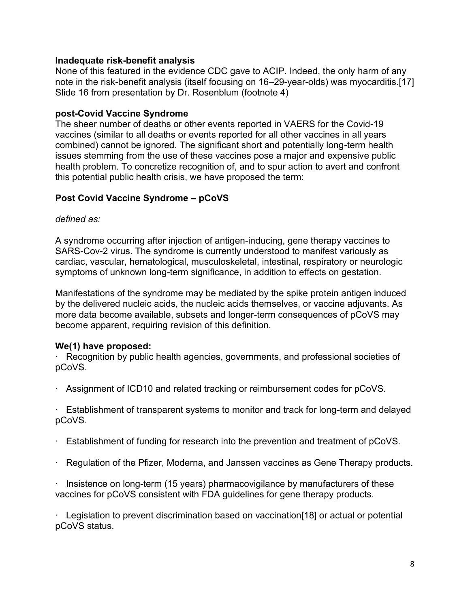#### **Inadequate risk-benefit analysis**

None of this featured in the evidence CDC gave to ACIP. Indeed, the only harm of any note in the risk-benefit analysis (itself focusing on 16–29-year-olds) was myocarditis.[17] Slide 16 from presentation by Dr. Rosenblum (footnote 4)

## **post-Covid Vaccine Syndrome**

The sheer number of deaths or other events reported in VAERS for the Covid-19 vaccines (similar to all deaths or events reported for all other vaccines in all years combined) cannot be ignored. The significant short and potentially long-term health issues stemming from the use of these vaccines pose a major and expensive public health problem. To concretize recognition of, and to spur action to avert and confront this potential public health crisis, we have proposed the term:

# **Post Covid Vaccine Syndrome – pCoVS**

*defined as:*

A syndrome occurring after injection of antigen-inducing, gene therapy vaccines to SARS-Cov-2 virus. The syndrome is currently understood to manifest variously as cardiac, vascular, hematological, musculoskeletal, intestinal, respiratory or neurologic symptoms of unknown long-term significance, in addition to effects on gestation.

Manifestations of the syndrome may be mediated by the spike protein antigen induced by the delivered nucleic acids, the nucleic acids themselves, or vaccine adjuvants. As more data become available, subsets and longer-term consequences of pCoVS may become apparent, requiring revision of this definition.

# **We(1) have proposed:**

· Recognition by public health agencies, governments, and professional societies of pCoVS.

· Assignment of ICD10 and related tracking or reimbursement codes for pCoVS.

· Establishment of transparent systems to monitor and track for long-term and delayed pCoVS.

- · Establishment of funding for research into the prevention and treatment of pCoVS.
- · Regulation of the Pfizer, Moderna, and Janssen vaccines as Gene Therapy products.

· Insistence on long-term (15 years) pharmacovigilance by manufacturers of these vaccines for pCoVS consistent with FDA guidelines for gene therapy products.

· Legislation to prevent discrimination based on vaccination[18] or actual or potential pCoVS status.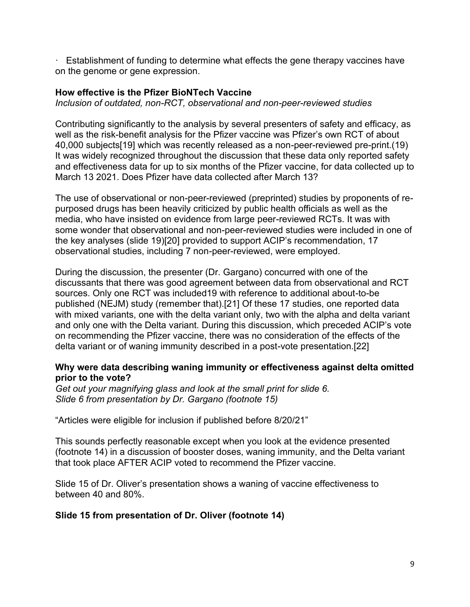· Establishment of funding to determine what effects the gene therapy vaccines have on the genome or gene expression.

## **How effective is the Pfizer BioNTech Vaccine**

*Inclusion of outdated, non-RCT, observational and non-peer-reviewed studies*

Contributing significantly to the analysis by several presenters of safety and efficacy, as well as the risk-benefit analysis for the Pfizer vaccine was Pfizer's own RCT of about 40,000 subjects[19] which was recently released as a non-peer-reviewed pre-print.(19) It was widely recognized throughout the discussion that these data only reported safety and effectiveness data for up to six months of the Pfizer vaccine, for data collected up to March 13 2021. Does Pfizer have data collected after March 13?

The use of observational or non-peer-reviewed (preprinted) studies by proponents of repurposed drugs has been heavily criticized by public health officials as well as the media, who have insisted on evidence from large peer-reviewed RCTs. It was with some wonder that observational and non-peer-reviewed studies were included in one of the key analyses (slide 19)[20] provided to support ACIP's recommendation, 17 observational studies, including 7 non-peer-reviewed, were employed.

During the discussion, the presenter (Dr. Gargano) concurred with one of the discussants that there was good agreement between data from observational and RCT sources. Only one RCT was included19 with reference to additional about-to-be published (NEJM) study (remember that).[21] Of these 17 studies, one reported data with mixed variants, one with the delta variant only, two with the alpha and delta variant and only one with the Delta variant. During this discussion, which preceded ACIP's vote on recommending the Pfizer vaccine, there was no consideration of the effects of the delta variant or of waning immunity described in a post-vote presentation.[22]

#### **Why were data describing waning immunity or effectiveness against delta omitted prior to the vote?**

*Get out your magnifying glass and look at the small print for slide 6. Slide 6 from presentation by Dr. Gargano (footnote 15)*

"Articles were eligible for inclusion if published before 8/20/21"

This sounds perfectly reasonable except when you look at the evidence presented (footnote 14) in a discussion of booster doses, waning immunity, and the Delta variant that took place AFTER ACIP voted to recommend the Pfizer vaccine.

Slide 15 of Dr. Oliver's presentation shows a waning of vaccine effectiveness to between 40 and 80%.

#### **Slide 15 from presentation of Dr. Oliver (footnote 14)**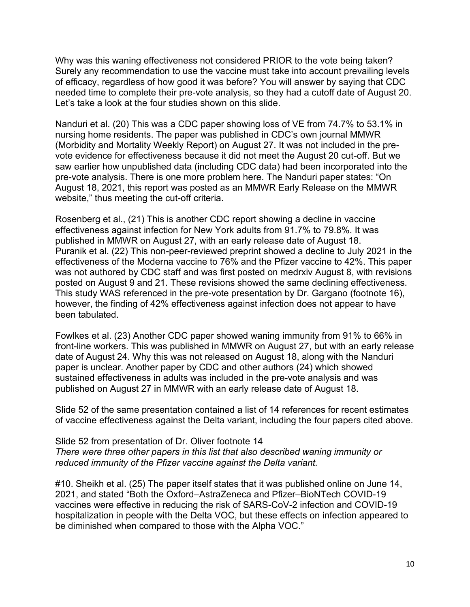Why was this waning effectiveness not considered PRIOR to the vote being taken? Surely any recommendation to use the vaccine must take into account prevailing levels of efficacy, regardless of how good it was before? You will answer by saying that CDC needed time to complete their pre-vote analysis, so they had a cutoff date of August 20. Let's take a look at the four studies shown on this slide.

Nanduri et al. (20) This was a CDC paper showing loss of VE from 74.7% to 53.1% in nursing home residents. The paper was published in CDC's own journal MMWR (Morbidity and Mortality Weekly Report) on August 27. It was not included in the prevote evidence for effectiveness because it did not meet the August 20 cut-off. But we saw earlier how unpublished data (including CDC data) had been incorporated into the pre-vote analysis. There is one more problem here. The Nanduri paper states: "On August 18, 2021, this report was posted as an MMWR Early Release on the MMWR website," thus meeting the cut-off criteria.

Rosenberg et al., (21) This is another CDC report showing a decline in vaccine effectiveness against infection for New York adults from 91.7% to 79.8%. It was published in MMWR on August 27, with an early release date of August 18. Puranik et al. (22) This non-peer-reviewed preprint showed a decline to July 2021 in the effectiveness of the Moderna vaccine to 76% and the Pfizer vaccine to 42%. This paper was not authored by CDC staff and was first posted on medrxiv August 8, with revisions posted on August 9 and 21. These revisions showed the same declining effectiveness. This study WAS referenced in the pre-vote presentation by Dr. Gargano (footnote 16), however, the finding of 42% effectiveness against infection does not appear to have been tabulated.

Fowlkes et al. (23) Another CDC paper showed waning immunity from 91% to 66% in front-line workers. This was published in MMWR on August 27, but with an early release date of August 24. Why this was not released on August 18, along with the Nanduri paper is unclear. Another paper by CDC and other authors (24) which showed sustained effectiveness in adults was included in the pre-vote analysis and was published on August 27 in MMWR with an early release date of August 18.

Slide 52 of the same presentation contained a list of 14 references for recent estimates of vaccine effectiveness against the Delta variant, including the four papers cited above.

Slide 52 from presentation of Dr. Oliver footnote 14 *There were three other papers in this list that also described waning immunity or reduced immunity of the Pfizer vaccine against the Delta variant.*

#10. Sheikh et al. (25) The paper itself states that it was published online on June 14, 2021, and stated "Both the Oxford–AstraZeneca and Pfizer–BioNTech COVID-19 vaccines were effective in reducing the risk of SARS-CoV-2 infection and COVID-19 hospitalization in people with the Delta VOC, but these effects on infection appeared to be diminished when compared to those with the Alpha VOC."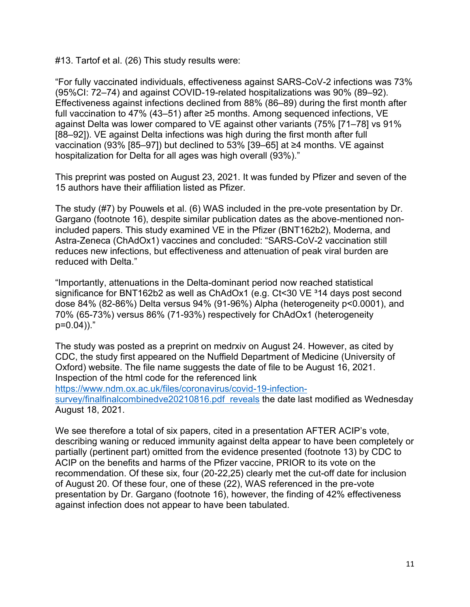#13. Tartof et al. (26) This study results were:

"For fully vaccinated individuals, effectiveness against SARS-CoV-2 infections was 73% (95%CI: 72‒74) and against COVID-19-related hospitalizations was 90% (89‒92). Effectiveness against infections declined from 88% (86‒89) during the first month after full vaccination to 47% (43–51) after ≥5 months. Among sequenced infections, VE against Delta was lower compared to VE against other variants (75% [71–78] vs 91% [88–92]). VE against Delta infections was high during the first month after full vaccination (93% [85–97]) but declined to 53% [39–65] at  $\geq$ 4 months. VE against hospitalization for Delta for all ages was high overall (93%)."

This preprint was posted on August 23, 2021. It was funded by Pfizer and seven of the 15 authors have their affiliation listed as Pfizer.

The study (#7) by Pouwels et al. (6) WAS included in the pre-vote presentation by Dr. Gargano (footnote 16), despite similar publication dates as the above-mentioned nonincluded papers. This study examined VE in the Pfizer (BNT162b2), Moderna, and Astra-Zeneca (ChAdOx1) vaccines and concluded: "SARS-CoV-2 vaccination still reduces new infections, but effectiveness and attenuation of peak viral burden are reduced with Delta."

"Importantly, attenuations in the Delta-dominant period now reached statistical significance for BNT162b2 as well as ChAdOx1 (e.g.  $Ct<30$  VE  $314$  days post second dose 84% (82-86%) Delta versus 94% (91-96%) Alpha (heterogeneity p<0.0001), and 70% (65-73%) versus 86% (71-93%) respectively for ChAdOx1 (heterogeneity p=0.04))."

The study was posted as a preprint on medrxiv on August 24. However, as cited by CDC, the study first appeared on the Nuffield Department of Medicine (University of Oxford) website. The file name suggests the date of file to be August 16, 2021. Inspection of the html code for the referenced link

[https://www.ndm.ox.ac.uk/files/coronavirus/covid-19-infection](https://www.ndm.ox.ac.uk/files/coronavirus/covid-19-infection-survey/finalfinalcombinedve20210816.pdf  reveals)[survey/finalfinalcombinedve20210816.pdf reveals](https://www.ndm.ox.ac.uk/files/coronavirus/covid-19-infection-survey/finalfinalcombinedve20210816.pdf  reveals) the date last modified as Wednesday August 18, 2021.

We see therefore a total of six papers, cited in a presentation AFTER ACIP's vote, describing waning or reduced immunity against delta appear to have been completely or partially (pertinent part) omitted from the evidence presented (footnote 13) by CDC to ACIP on the benefits and harms of the Pfizer vaccine, PRIOR to its vote on the recommendation. Of these six, four (20-22,25) clearly met the cut-off date for inclusion of August 20. Of these four, one of these (22), WAS referenced in the pre-vote presentation by Dr. Gargano (footnote 16), however, the finding of 42% effectiveness against infection does not appear to have been tabulated.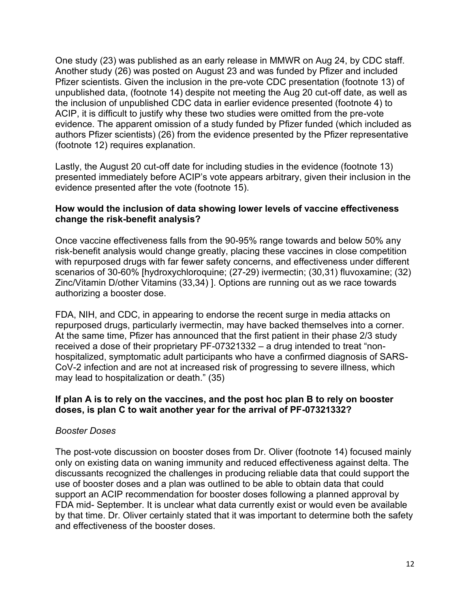One study (23) was published as an early release in MMWR on Aug 24, by CDC staff. Another study (26) was posted on August 23 and was funded by Pfizer and included Pfizer scientists. Given the inclusion in the pre-vote CDC presentation (footnote 13) of unpublished data, (footnote 14) despite not meeting the Aug 20 cut-off date, as well as the inclusion of unpublished CDC data in earlier evidence presented (footnote 4) to ACIP, it is difficult to justify why these two studies were omitted from the pre-vote evidence. The apparent omission of a study funded by Pfizer funded (which included as authors Pfizer scientists) (26) from the evidence presented by the Pfizer representative (footnote 12) requires explanation.

Lastly, the August 20 cut-off date for including studies in the evidence (footnote 13) presented immediately before ACIP's vote appears arbitrary, given their inclusion in the evidence presented after the vote (footnote 15).

#### **How would the inclusion of data showing lower levels of vaccine effectiveness change the risk-benefit analysis?**

Once vaccine effectiveness falls from the 90-95% range towards and below 50% any risk-benefit analysis would change greatly, placing these vaccines in close competition with repurposed drugs with far fewer safety concerns, and effectiveness under different scenarios of 30-60% [hydroxychloroquine; (27-29) ivermectin; (30,31) fluvoxamine; (32) Zinc/Vitamin D/other Vitamins (33,34) ]. Options are running out as we race towards authorizing a booster dose.

FDA, NIH, and CDC, in appearing to endorse the recent surge in media attacks on repurposed drugs, particularly ivermectin, may have backed themselves into a corner. At the same time, Pfizer has announced that the first patient in their phase 2/3 study received a dose of their proprietary PF-07321332 – a drug intended to treat "nonhospitalized, symptomatic adult participants who have a confirmed diagnosis of SARS-CoV-2 infection and are not at increased risk of progressing to severe illness, which may lead to hospitalization or death." (35)

#### **If plan A is to rely on the vaccines, and the post hoc plan B to rely on booster doses, is plan C to wait another year for the arrival of PF-07321332?**

#### *Booster Doses*

The post-vote discussion on booster doses from Dr. Oliver (footnote 14) focused mainly only on existing data on waning immunity and reduced effectiveness against delta. The discussants recognized the challenges in producing reliable data that could support the use of booster doses and a plan was outlined to be able to obtain data that could support an ACIP recommendation for booster doses following a planned approval by FDA mid- September. It is unclear what data currently exist or would even be available by that time. Dr. Oliver certainly stated that it was important to determine both the safety and effectiveness of the booster doses.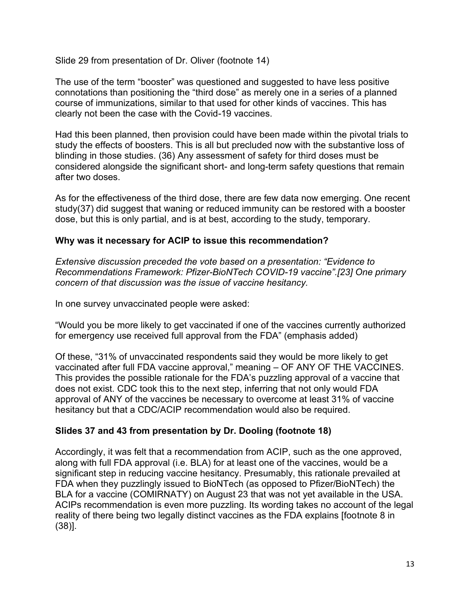Slide 29 from presentation of Dr. Oliver (footnote 14)

The use of the term "booster" was questioned and suggested to have less positive connotations than positioning the "third dose" as merely one in a series of a planned course of immunizations, similar to that used for other kinds of vaccines. This has clearly not been the case with the Covid-19 vaccines.

Had this been planned, then provision could have been made within the pivotal trials to study the effects of boosters. This is all but precluded now with the substantive loss of blinding in those studies. (36) Any assessment of safety for third doses must be considered alongside the significant short- and long-term safety questions that remain after two doses.

As for the effectiveness of the third dose, there are few data now emerging. One recent study(37) did suggest that waning or reduced immunity can be restored with a booster dose, but this is only partial, and is at best, according to the study, temporary.

# **Why was it necessary for ACIP to issue this recommendation?**

*Extensive discussion preceded the vote based on a presentation: "Evidence to Recommendations Framework: Pfizer-BioNTech COVID-19 vaccine".[23] One primary concern of that discussion was the issue of vaccine hesitancy.*

In one survey unvaccinated people were asked:

"Would you be more likely to get vaccinated if one of the vaccines currently authorized for emergency use received full approval from the FDA" (emphasis added)

Of these, "31% of unvaccinated respondents said they would be more likely to get vaccinated after full FDA vaccine approval," meaning – OF ANY OF THE VACCINES. This provides the possible rationale for the FDA's puzzling approval of a vaccine that does not exist. CDC took this to the next step, inferring that not only would FDA approval of ANY of the vaccines be necessary to overcome at least 31% of vaccine hesitancy but that a CDC/ACIP recommendation would also be required.

# **Slides 37 and 43 from presentation by Dr. Dooling (footnote 18)**

Accordingly, it was felt that a recommendation from ACIP, such as the one approved, along with full FDA approval (i.e. BLA) for at least one of the vaccines, would be a significant step in reducing vaccine hesitancy. Presumably, this rationale prevailed at FDA when they puzzlingly issued to BioNTech (as opposed to Pfizer/BioNTech) the BLA for a vaccine (COMIRNATY) on August 23 that was not yet available in the USA. ACIPs recommendation is even more puzzling. Its wording takes no account of the legal reality of there being two legally distinct vaccines as the FDA explains [footnote 8 in (38)].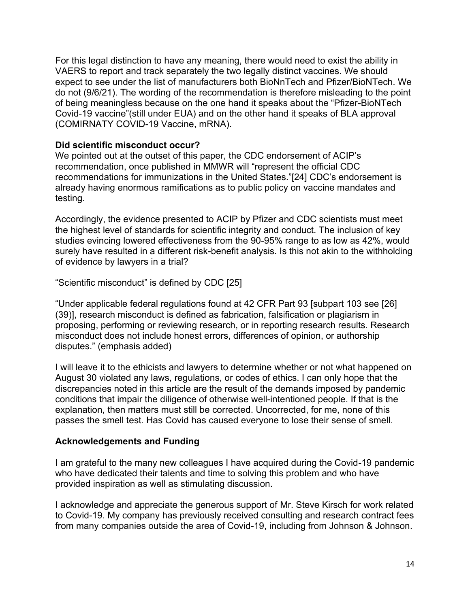For this legal distinction to have any meaning, there would need to exist the ability in VAERS to report and track separately the two legally distinct vaccines. We should expect to see under the list of manufacturers both BioNnTech and Pfizer/BioNTech. We do not (9/6/21). The wording of the recommendation is therefore misleading to the point of being meaningless because on the one hand it speaks about the "Pfizer-BioNTech Covid-19 vaccine"(still under EUA) and on the other hand it speaks of BLA approval (COMIRNATY COVID-19 Vaccine, mRNA).

#### **Did scientific misconduct occur?**

We pointed out at the outset of this paper, the CDC endorsement of ACIP's recommendation, once published in MMWR will "represent the official CDC recommendations for immunizations in the United States."[24] CDC's endorsement is already having enormous ramifications as to public policy on vaccine mandates and testing.

Accordingly, the evidence presented to ACIP by Pfizer and CDC scientists must meet the highest level of standards for scientific integrity and conduct. The inclusion of key studies evincing lowered effectiveness from the 90-95% range to as low as 42%, would surely have resulted in a different risk-benefit analysis. Is this not akin to the withholding of evidence by lawyers in a trial?

"Scientific misconduct" is defined by CDC [25]

"Under applicable federal regulations found at 42 CFR Part 93 [subpart 103 see [26] (39)], research misconduct is defined as fabrication, falsification or plagiarism in proposing, performing or reviewing research, or in reporting research results. Research misconduct does not include honest errors, differences of opinion, or authorship disputes." (emphasis added)

I will leave it to the ethicists and lawyers to determine whether or not what happened on August 30 violated any laws, regulations, or codes of ethics. I can only hope that the discrepancies noted in this article are the result of the demands imposed by pandemic conditions that impair the diligence of otherwise well-intentioned people. If that is the explanation, then matters must still be corrected. Uncorrected, for me, none of this passes the smell test. Has Covid has caused everyone to lose their sense of smell.

# **Acknowledgements and Funding**

I am grateful to the many new colleagues I have acquired during the Covid-19 pandemic who have dedicated their talents and time to solving this problem and who have provided inspiration as well as stimulating discussion.

I acknowledge and appreciate the generous support of Mr. Steve Kirsch for work related to Covid-19. My company has previously received consulting and research contract fees from many companies outside the area of Covid-19, including from Johnson & Johnson.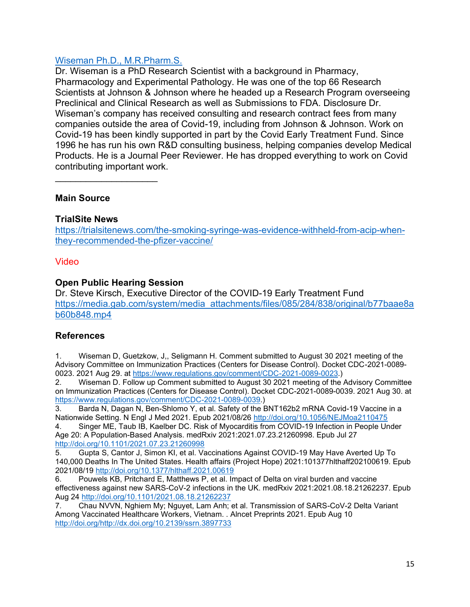# [Wiseman Ph.D., M.R.Pharm.S.](https://trialsitenews.com/members/david-wiseman/)

Dr. Wiseman is a PhD Research Scientist with a background in Pharmacy, Pharmacology and Experimental Pathology. He was one of the top 66 Research Scientists at Johnson & Johnson where he headed up a Research Program overseeing Preclinical and Clinical Research as well as Submissions to FDA. Disclosure Dr. Wiseman's company has received consulting and research contract fees from many companies outside the area of Covid-19, including from Johnson & Johnson. Work on Covid-19 has been kindly supported in part by the Covid Early Treatment Fund. Since 1996 he has run his own R&D consulting business, helping companies develop Medical Products. He is a Journal Peer Reviewer. He has dropped everything to work on Covid contributing important work.

# **Main Source**

## **TrialSite News**

 $\mathcal{L}_\text{max}$  , where  $\mathcal{L}_\text{max}$  , we have the set of  $\mathcal{L}_\text{max}$ 

[https://trialsitenews.com/the-smoking-syringe-was-evidence-withheld-from-acip-when](https://trialsitenews.com/the-smoking-syringe-was-evidence-withheld-from-acip-when-they-recommended-the-pfizer-vaccine/)[they-recommended-the-pfizer-vaccine/](https://trialsitenews.com/the-smoking-syringe-was-evidence-withheld-from-acip-when-they-recommended-the-pfizer-vaccine/)

#### Video

## **Open Public Hearing Session**

Dr. Steve Kirsch, Executive Director of the COVID-19 Early Treatment Fund [https://media.gab.com/system/media\\_attachments/files/085/284/838/original/b77baae8a](https://media.gab.com/system/media_attachments/files/085/284/838/original/b77baae8ab60b848.mp4) [b60b848.mp4](https://media.gab.com/system/media_attachments/files/085/284/838/original/b77baae8ab60b848.mp4)

# **References**

1. Wiseman D, Guetzkow, J,, Seligmann H. Comment submitted to August 30 2021 meeting of the Advisory Committee on Immunization Practices (Centers for Disease Control). Docket CDC-2021-0089- 0023. 2021 Aug 29. at [https://www.regulations.gov/comment/CDC-2021-0089-0023.](https://www.regulations.gov/comment/CDC-2021-0089-0023))

2. Wiseman D. Follow up Comment submitted to August 30 2021 meeting of the Advisory Committee on Immunization Practices (Centers for Disease Control). Docket CDC-2021-0089-0039. 2021 Aug 30. at [https://www.regulations.gov/comment/CDC-2021-0089-0039.](https://www.regulations.gov/comment/CDC-2021-0089-0039))

3. Barda N, Dagan N, Ben-Shlomo Y, et al. Safety of the BNT162b2 mRNA Covid-19 Vaccine in a Nationwide Setting. N Engl J Med 2021. Epub 2021/08/26<http://doi.org/10.1056/NEJMoa2110475>

4. Singer ME, Taub IB, Kaelber DC. Risk of Myocarditis from COVID-19 Infection in People Under Age 20: A Population-Based Analysis. medRxiv 2021:2021.07.23.21260998. Epub Jul 27 <http://doi.org/10.1101/2021.07.23.21260998>

5. Gupta S, Cantor J, Simon KI, et al. Vaccinations Against COVID-19 May Have Averted Up To 140,000 Deaths In The United States. Health affairs (Project Hope) 2021:101377hlthaff202100619. Epub 2021/08/19<http://doi.org/10.1377/hlthaff.2021.00619>

6. Pouwels KB, Pritchard E, Matthews P, et al. Impact of Delta on viral burden and vaccine effectiveness against new SARS-CoV-2 infections in the UK. medRxiv 2021:2021.08.18.21262237. Epub Aug 24<http://doi.org/10.1101/2021.08.18.21262237>

7. Chau NVVN, Nghiem My; Nguyet, Lam Anh; et al. Transmission of SARS-CoV-2 Delta Variant Among Vaccinated Healthcare Workers, Vietnam. . Alncet Preprints 2021. Epub Aug 10 [http://doi.org/http://dx.doi.org/10.2139/ssrn.3897733](http://doi.org/http:/dx.doi.org/10.2139/ssrn.3897733)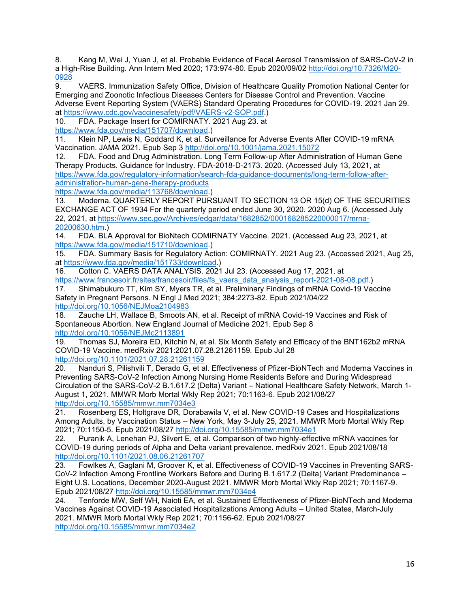8. Kang M, Wei J, Yuan J, et al. Probable Evidence of Fecal Aerosol Transmission of SARS-CoV-2 in a High-Rise Building. Ann Intern Med 2020; 173:974-80. Epub 2020/09/02 [http://doi.org/10.7326/M20-](http://doi.org/10.7326/M20-0928) [0928](http://doi.org/10.7326/M20-0928)

9. VAERS. Immunization Safety Office, Division of Healthcare Quality Promotion National Center for Emerging and Zoonotic Infectious Diseases Centers for Disease Control and Prevention. Vaccine Adverse Event Reporting System (VAERS) Standard Operating Procedures for COVID-19. 2021 Jan 29. at [https://www.cdc.gov/vaccinesafety/pdf/VAERS-v2-SOP.pdf.](https://www.cdc.gov/vaccinesafety/pdf/VAERS-v2-SOP.pdf))

10. FDA. Package Insert for COMIRNATY. 2021 Aug 23. at

[https://www.fda.gov/media/151707/download.](https://www.fda.gov/media/151707/download))

11. Klein NP, Lewis N, Goddard K, et al. Surveillance for Adverse Events After COVID-19 mRNA Vaccination. JAMA 2021. Epub Sep 3<http://doi.org/10.1001/jama.2021.15072>

12. FDA. Food and Drug Administration. Long Term Follow-up After Administration of Human Gene Therapy Products. Guidance for Industry. FDA-2018-D-2173. 2020. (Accessed July 13, 2021, at [https://www.fda.gov/regulatory-information/search-fda-guidance-documents/long-term-follow-after](https://www.fda.gov/regulatory-information/search-fda-guidance-documents/long-term-follow-after-administration-human-gene-therapy-products)[administration-human-gene-therapy-products](https://www.fda.gov/regulatory-information/search-fda-guidance-documents/long-term-follow-after-administration-human-gene-therapy-products)

[https://www.fda.gov/media/113768/download.](https://www.fda.gov/media/113768/download))

13. Moderna. QUARTERLY REPORT PURSUANT TO SECTION 13 OR 15(d) OF THE SECURITIES EXCHANGE ACT OF 1934 For the quarterly period ended June 30, 2020. 2020 Aug 6. (Accessed July 22, 2021, at [https://www.sec.gov/Archives/edgar/data/1682852/000168285220000017/mrna-](https://www.sec.gov/Archives/edgar/data/1682852/000168285220000017/mrna-20200630.htm)[20200630.htm.](https://www.sec.gov/Archives/edgar/data/1682852/000168285220000017/mrna-20200630.htm))

14. FDA. BLA Approval for BioNtech COMIRNATY Vaccine. 2021. (Accessed Aug 23, 2021, at [https://www.fda.gov/media/151710/download.](https://www.fda.gov/media/151710/download))

15. FDA. Summary Basis for Regulatory Action: COMIRNATY. 2021 Aug 23. (Accessed 2021, Aug 25, at [https://www.fda.gov/media/151733/download.](https://www.fda.gov/media/151733/download))

16. Cotton C. VAERS DATA ANALYSIS. 2021 Jul 23. (Accessed Aug 17, 2021, at [https://www.francesoir.fr/sites/francesoir/files/fs\\_vaers\\_data\\_analysis\\_report-2021-08-08.pdf.](https://www.francesoir.fr/sites/francesoir/files/fs_vaers_data_analysis_report-2021-08-08.pdf))

17. Shimabukuro TT, Kim SY, Myers TR, et al. Preliminary Findings of mRNA Covid-19 Vaccine Safety in Pregnant Persons. N Engl J Med 2021; 384:2273-82. Epub 2021/04/22

<http://doi.org/10.1056/NEJMoa2104983>

18. Zauche LH, Wallace B, Smoots AN, et al. Receipt of mRNA Covid-19 Vaccines and Risk of Spontaneous Abortion. New England Journal of Medicine 2021. Epub Sep 8 <http://doi.org/10.1056/NEJMc2113891>

19. Thomas SJ, Moreira ED, Kitchin N, et al. Six Month Safety and Efficacy of the BNT162b2 mRNA COVID-19 Vaccine. medRxiv 2021:2021.07.28.21261159. Epub Jul 28 <http://doi.org/10.1101/2021.07.28.21261159>

20. Nanduri S, Pilishvili T, Derado G, et al. Effectiveness of Pfizer-BioNTech and Moderna Vaccines in Preventing SARS-CoV-2 Infection Among Nursing Home Residents Before and During Widespread Circulation of the SARS-CoV-2 B.1.617.2 (Delta) Variant – National Healthcare Safety Network, March 1- August 1, 2021. MMWR Morb Mortal Wkly Rep 2021; 70:1163-6. Epub 2021/08/27 <http://doi.org/10.15585/mmwr.mm7034e3>

21. Rosenberg ES, Holtgrave DR, Dorabawila V, et al. New COVID-19 Cases and Hospitalizations Among Adults, by Vaccination Status – New York, May 3-July 25, 2021. MMWR Morb Mortal Wkly Rep 2021; 70:1150-5. Epub 2021/08/27<http://doi.org/10.15585/mmwr.mm7034e1>

22. Puranik A, Lenehan PJ, Silvert E, et al. Comparison of two highly-effective mRNA vaccines for COVID-19 during periods of Alpha and Delta variant prevalence. medRxiv 2021. Epub 2021/08/18 <http://doi.org/10.1101/2021.08.06.21261707>

23. Fowlkes A, Gaglani M, Groover K, et al. Effectiveness of COVID-19 Vaccines in Preventing SARS-CoV-2 Infection Among Frontline Workers Before and During B.1.617.2 (Delta) Variant Predominance – Eight U.S. Locations, December 2020-August 2021. MMWR Morb Mortal Wkly Rep 2021; 70:1167-9. Epub 2021/08/27<http://doi.org/10.15585/mmwr.mm7034e4>

24. Tenforde MW, Self WH, Naioti EA, et al. Sustained Effectiveness of Pfizer-BioNTech and Moderna Vaccines Against COVID-19 Associated Hospitalizations Among Adults – United States, March-July 2021. MMWR Morb Mortal Wkly Rep 2021; 70:1156-62. Epub 2021/08/27 <http://doi.org/10.15585/mmwr.mm7034e2>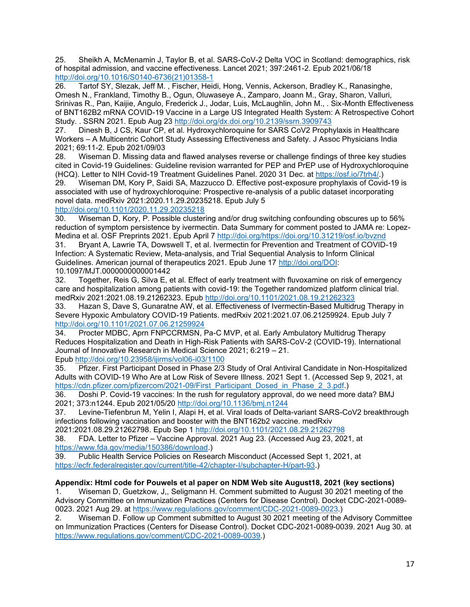25. Sheikh A, McMenamin J, Taylor B, et al. SARS-CoV-2 Delta VOC in Scotland: demographics, risk of hospital admission, and vaccine effectiveness. Lancet 2021; 397:2461-2. Epub 2021/06/18 [http://doi.org/10.1016/S0140-6736\(21\)01358-1](http://doi.org/10.1016/S0140-6736(21)01358-1)

26. Tartof SY, Slezak, Jeff M. , Fischer, Heidi, Hong, Vennis, Ackerson, Bradley K., Ranasinghe, Omesh N., Frankland, Timothy B., Ogun, Oluwaseye A., Zamparo, Joann M., Gray, Sharon, Valluri, Srinivas R., Pan, Kaijie, Angulo, Frederick J., Jodar, Luis, McLaughlin, John M., . Six-Month Effectiveness of BNT162B2 mRNA COVID-19 Vaccine in a Large US Integrated Health System: A Retrospective Cohort Study. . SSRN 2021. Epub Aug 23<http://doi.org/dx.doi.org/10.2139/ssrn.3909743>

27. Dinesh B, J CS, Kaur CP, et al. Hydroxychloroquine for SARS CoV2 Prophylaxis in Healthcare Workers – A Multicentric Cohort Study Assessing Effectiveness and Safety. J Assoc Physicians India 2021; 69:11-2. Epub 2021/09/03

28. Wiseman D. Missing data and flawed analyses reverse or challenge findings of three key studies cited in Covid-19 Guidelines: Guideline revision warranted for PEP and PrEP use of Hydroxychloroquine (HCQ). Letter to NIH Covid-19 Treatment Guidelines Panel. 2020 31 Dec. at [https://osf.io/7trh4/.](https://osf.io/7trh4/))

29. Wiseman DM, Kory P, Saidi SA, Mazzucco D. Effective post-exposure prophylaxis of Covid-19 is associated with use of hydroxychloroquine: Prospective re-analysis of a public dataset incorporating novel data. medRxiv 2021:2020.11.29.20235218. Epub July 5

#### <http://doi.org/10.1101/2020.11.29.20235218>

30. Wiseman D, Kory, P. Possible clustering and/or drug switching confounding obscures up to 56% reduction of symptom persistence by ivermectin. Data Summary for comment posted to JAMA re: Lopez-Medina et al. OSF Preprints 2021. Epub April 7 [http://doi.org/https://doi.org/10.31219/osf.io/bvznd](http://doi.org/https:/doi.org/10.31219/osf.io/bvznd)

31. Bryant A, Lawrie TA, Dowswell T, et al. Ivermectin for Prevention and Treatment of COVID-19 Infection: A Systematic Review, Meta-analysis, and Trial Sequential Analysis to Inform Clinical Guidelines. American journal of therapeutics 2021. Epub June 17 [http://doi.org/DOI:](http://doi.org/DOI) 10.1097/MJT.0000000000001442

32. Together, Reis G, Silva E, et al. Effect of early treatment with fluvoxamine on risk of emergency care and hospitalization among patients with covid-19: the Together randomized platform clinical trial. medRxiv 2021:2021.08.19.21262323. Epub <http://doi.org/10.1101/2021.08.19.21262323>

33. Hazan S, Dave S, Gunaratne AW, et al. Effectiveness of Ivermectin-Based Multidrug Therapy in Severe Hypoxic Ambulatory COVID-19 Patients. medRxiv 2021:2021.07.06.21259924. Epub July 7 <http://doi.org/10.1101/2021.07.06.21259924>

34. Procter MDBC, Aprn FNPCCRMSN, Pa-C MVP, et al. Early Ambulatory Multidrug Therapy Reduces Hospitalization and Death in High-Risk Patients with SARS-CoV-2 (COVID-19). International Journal of Innovative Research in Medical Science 2021; 6:219 – 21. Epub <http://doi.org/10.23958/ijirms/vol06-i03/1100>

35. Pfizer. First Participant Dosed in Phase 2/3 Study of Oral Antiviral Candidate in Non-Hospitalized Adults with COVID-19 Who Are at Low Risk of Severe Illness. 2021 Sept 1. (Accessed Sep 9, 2021, at [https://cdn.pfizer.com/pfizercom/2021-09/First\\_Participant\\_Dosed\\_in\\_Phase\\_2\\_3.pdf.](https://cdn.pfizer.com/pfizercom/2021-09/First_Participant_Dosed_in_Phase_2_3.pdf))

36. Doshi P. Covid-19 vaccines: In the rush for regulatory approval, do we need more data? BMJ 2021; 373:n1244. Epub 2021/05/20<http://doi.org/10.1136/bmj.n1244>

37. Levine-Tiefenbrun M, Yelin I, Alapi H, et al. Viral loads of Delta-variant SARS-CoV2 breakthrough infections following vaccination and booster with the BNT162b2 vaccine. medRxiv

2021:2021.08.29.21262798. Epub Sep 1<http://doi.org/10.1101/2021.08.29.21262798>

38. FDA. Letter to Pfizer – Vaccine Approval. 2021 Aug 23. (Accessed Aug 23, 2021, at [https://www.fda.gov/media/150386/download.](https://www.fda.gov/media/150386/download))

39. Public Health Service Policies on Research Misconduct (Accessed Sept 1, 2021, at [https://ecfr.federalregister.gov/current/title-42/chapter-I/subchapter-H/part-93.](https://ecfr.federalregister.gov/current/title-42/chapter-I/subchapter-H/part-93))

#### **Appendix: Html code for Pouwels et al paper on NDM Web site August18, 2021 (key sections)**

1. Wiseman D, Guetzkow, J,, Seligmann H. Comment submitted to August 30 2021 meeting of the Advisory Committee on Immunization Practices (Centers for Disease Control). Docket CDC-2021-0089- 0023. 2021 Aug 29. at [https://www.regulations.gov/comment/CDC-2021-0089-0023.](https://www.regulations.gov/comment/CDC-2021-0089-0023))

2. Wiseman D. Follow up Comment submitted to August 30 2021 meeting of the Advisory Committee on Immunization Practices (Centers for Disease Control). Docket CDC-2021-0089-0039. 2021 Aug 30. at [https://www.regulations.gov/comment/CDC-2021-0089-0039.](https://www.regulations.gov/comment/CDC-2021-0089-0039))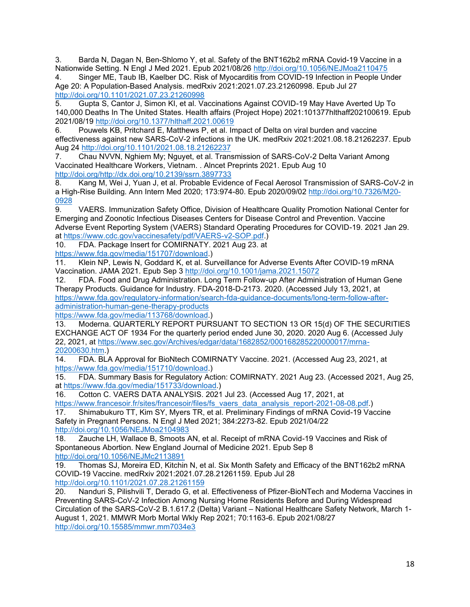3. Barda N, Dagan N, Ben-Shlomo Y, et al. Safety of the BNT162b2 mRNA Covid-19 Vaccine in a Nationwide Setting. N Engl J Med 2021. Epub 2021/08/26<http://doi.org/10.1056/NEJMoa2110475>

4. Singer ME, Taub IB, Kaelber DC. Risk of Myocarditis from COVID-19 Infection in People Under Age 20: A Population-Based Analysis. medRxiv 2021:2021.07.23.21260998. Epub Jul 27 <http://doi.org/10.1101/2021.07.23.21260998>

5. Gupta S, Cantor J, Simon KI, et al. Vaccinations Against COVID-19 May Have Averted Up To 140,000 Deaths In The United States. Health affairs (Project Hope) 2021:101377hlthaff202100619. Epub 2021/08/19<http://doi.org/10.1377/hlthaff.2021.00619>

6. Pouwels KB, Pritchard E, Matthews P, et al. Impact of Delta on viral burden and vaccine effectiveness against new SARS-CoV-2 infections in the UK. medRxiv 2021:2021.08.18.21262237. Epub Aug 24<http://doi.org/10.1101/2021.08.18.21262237>

7. Chau NVVN, Nghiem My; Nguyet, et al. Transmission of SARS-CoV-2 Delta Variant Among Vaccinated Healthcare Workers, Vietnam. . Alncet Preprints 2021. Epub Aug 10 [http://doi.org/http://dx.doi.org/10.2139/ssrn.3897733](http://doi.org/http:/dx.doi.org/10.2139/ssrn.3897733)

8. Kang M, Wei J, Yuan J, et al. Probable Evidence of Fecal Aerosol Transmission of SARS-CoV-2 in a High-Rise Building. Ann Intern Med 2020; 173:974-80. Epub 2020/09/02 [http://doi.org/10.7326/M20-](http://doi.org/10.7326/M20-0928) [0928](http://doi.org/10.7326/M20-0928)

9. VAERS. Immunization Safety Office, Division of Healthcare Quality Promotion National Center for Emerging and Zoonotic Infectious Diseases Centers for Disease Control and Prevention. Vaccine Adverse Event Reporting System (VAERS) Standard Operating Procedures for COVID-19. 2021 Jan 29. at [https://www.cdc.gov/vaccinesafety/pdf/VAERS-v2-SOP.pdf.](https://www.cdc.gov/vaccinesafety/pdf/VAERS-v2-SOP.pdf))

10. FDA. Package Insert for COMIRNATY. 2021 Aug 23. at

[https://www.fda.gov/media/151707/download.](https://www.fda.gov/media/151707/download))

11. Klein NP, Lewis N, Goddard K, et al. Surveillance for Adverse Events After COVID-19 mRNA Vaccination. JAMA 2021. Epub Sep 3<http://doi.org/10.1001/jama.2021.15072>

12. FDA. Food and Drug Administration. Long Term Follow-up After Administration of Human Gene Therapy Products. Guidance for Industry. FDA-2018-D-2173. 2020. (Accessed July 13, 2021, at [https://www.fda.gov/regulatory-information/search-fda-guidance-documents/long-term-follow-after](https://www.fda.gov/regulatory-information/search-fda-guidance-documents/long-term-follow-after-administration-human-gene-therapy-products)[administration-human-gene-therapy-products](https://www.fda.gov/regulatory-information/search-fda-guidance-documents/long-term-follow-after-administration-human-gene-therapy-products)

[https://www.fda.gov/media/113768/download.](https://www.fda.gov/media/113768/download))

13. Moderna. QUARTERLY REPORT PURSUANT TO SECTION 13 OR 15(d) OF THE SECURITIES EXCHANGE ACT OF 1934 For the quarterly period ended June 30, 2020. 2020 Aug 6. (Accessed July 22, 2021, at [https://www.sec.gov/Archives/edgar/data/1682852/000168285220000017/mrna-](https://www.sec.gov/Archives/edgar/data/1682852/000168285220000017/mrna-20200630.htm)[20200630.htm.](https://www.sec.gov/Archives/edgar/data/1682852/000168285220000017/mrna-20200630.htm))

14. FDA. BLA Approval for BioNtech COMIRNATY Vaccine. 2021. (Accessed Aug 23, 2021, at [https://www.fda.gov/media/151710/download.](https://www.fda.gov/media/151710/download))

15. FDA. Summary Basis for Regulatory Action: COMIRNATY. 2021 Aug 23. (Accessed 2021, Aug 25, at [https://www.fda.gov/media/151733/download.](https://www.fda.gov/media/151733/download))

16. Cotton C. VAERS DATA ANALYSIS. 2021 Jul 23. (Accessed Aug 17, 2021, at [https://www.francesoir.fr/sites/francesoir/files/fs\\_vaers\\_data\\_analysis\\_report-2021-08-08.pdf.](https://www.francesoir.fr/sites/francesoir/files/fs_vaers_data_analysis_report-2021-08-08.pdf))

17. Shimabukuro TT, Kim SY, Myers TR, et al. Preliminary Findings of mRNA Covid-19 Vaccine Safety in Pregnant Persons. N Engl J Med 2021; 384:2273-82. Epub 2021/04/22 <http://doi.org/10.1056/NEJMoa2104983>

18. Zauche LH, Wallace B, Smoots AN, et al. Receipt of mRNA Covid-19 Vaccines and Risk of Spontaneous Abortion. New England Journal of Medicine 2021. Epub Sep 8 <http://doi.org/10.1056/NEJMc2113891>

19. Thomas SJ, Moreira ED, Kitchin N, et al. Six Month Safety and Efficacy of the BNT162b2 mRNA COVID-19 Vaccine. medRxiv 2021:2021.07.28.21261159. Epub Jul 28 <http://doi.org/10.1101/2021.07.28.21261159>

20. Nanduri S, Pilishvili T, Derado G, et al. Effectiveness of Pfizer-BioNTech and Moderna Vaccines in Preventing SARS-CoV-2 Infection Among Nursing Home Residents Before and During Widespread Circulation of the SARS-CoV-2 B.1.617.2 (Delta) Variant – National Healthcare Safety Network, March 1- August 1, 2021. MMWR Morb Mortal Wkly Rep 2021; 70:1163-6. Epub 2021/08/27 <http://doi.org/10.15585/mmwr.mm7034e3>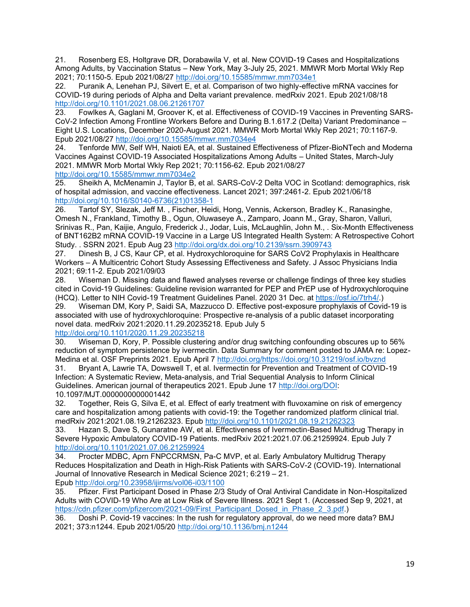21. Rosenberg ES, Holtgrave DR, Dorabawila V, et al. New COVID-19 Cases and Hospitalizations Among Adults, by Vaccination Status – New York, May 3-July 25, 2021. MMWR Morb Mortal Wkly Rep 2021; 70:1150-5. Epub 2021/08/27<http://doi.org/10.15585/mmwr.mm7034e1>

22. Puranik A, Lenehan PJ, Silvert E, et al. Comparison of two highly-effective mRNA vaccines for COVID-19 during periods of Alpha and Delta variant prevalence. medRxiv 2021. Epub 2021/08/18 <http://doi.org/10.1101/2021.08.06.21261707>

23. Fowlkes A, Gaglani M, Groover K, et al. Effectiveness of COVID-19 Vaccines in Preventing SARS-CoV-2 Infection Among Frontline Workers Before and During B.1.617.2 (Delta) Variant Predominance – Eight U.S. Locations, December 2020-August 2021. MMWR Morb Mortal Wkly Rep 2021; 70:1167-9. Epub 2021/08/27<http://doi.org/10.15585/mmwr.mm7034e4>

24. Tenforde MW, Self WH, Naioti EA, et al. Sustained Effectiveness of Pfizer-BioNTech and Moderna Vaccines Against COVID-19 Associated Hospitalizations Among Adults – United States, March-July 2021. MMWR Morb Mortal Wkly Rep 2021; 70:1156-62. Epub 2021/08/27 <http://doi.org/10.15585/mmwr.mm7034e2>

25. Sheikh A, McMenamin J, Taylor B, et al. SARS-CoV-2 Delta VOC in Scotland: demographics, risk of hospital admission, and vaccine effectiveness. Lancet 2021; 397:2461-2. Epub 2021/06/18 [http://doi.org/10.1016/S0140-6736\(21\)01358-1](http://doi.org/10.1016/S0140-6736(21)01358-1)

26. Tartof SY, Slezak, Jeff M. , Fischer, Heidi, Hong, Vennis, Ackerson, Bradley K., Ranasinghe, Omesh N., Frankland, Timothy B., Ogun, Oluwaseye A., Zamparo, Joann M., Gray, Sharon, Valluri, Srinivas R., Pan, Kaijie, Angulo, Frederick J., Jodar, Luis, McLaughlin, John M., . Six-Month Effectiveness of BNT162B2 mRNA COVID-19 Vaccine in a Large US Integrated Health System: A Retrospective Cohort Study. . SSRN 2021. Epub Aug 23<http://doi.org/dx.doi.org/10.2139/ssrn.3909743>

27. Dinesh B, J CS, Kaur CP, et al. Hydroxychloroquine for SARS CoV2 Prophylaxis in Healthcare Workers – A Multicentric Cohort Study Assessing Effectiveness and Safety. J Assoc Physicians India 2021; 69:11-2. Epub 2021/09/03

28. Wiseman D. Missing data and flawed analyses reverse or challenge findings of three key studies cited in Covid-19 Guidelines: Guideline revision warranted for PEP and PrEP use of Hydroxychloroquine (HCQ). Letter to NIH Covid-19 Treatment Guidelines Panel. 2020 31 Dec. at [https://osf.io/7trh4/.](https://osf.io/7trh4/))

29. Wiseman DM, Kory P, Saidi SA, Mazzucco D. Effective post-exposure prophylaxis of Covid-19 is associated with use of hydroxychloroquine: Prospective re-analysis of a public dataset incorporating novel data. medRxiv 2021:2020.11.29.20235218. Epub July 5

#### <http://doi.org/10.1101/2020.11.29.20235218>

30. Wiseman D, Kory, P. Possible clustering and/or drug switching confounding obscures up to 56% reduction of symptom persistence by ivermectin. Data Summary for comment posted to JAMA re: Lopez-Medina et al. OSF Preprints 2021. Epub April 7 [http://doi.org/https://doi.org/10.31219/osf.io/bvznd](http://doi.org/https:/doi.org/10.31219/osf.io/bvznd)

31. Bryant A, Lawrie TA, Dowswell T, et al. Ivermectin for Prevention and Treatment of COVID-19 Infection: A Systematic Review, Meta-analysis, and Trial Sequential Analysis to Inform Clinical Guidelines. American journal of therapeutics 2021. Epub June 17 [http://doi.org/DOI:](http://doi.org/DOI) 10.1097/MJT.0000000000001442

32. Together, Reis G, Silva E, et al. Effect of early treatment with fluvoxamine on risk of emergency care and hospitalization among patients with covid-19: the Together randomized platform clinical trial. medRxiv 2021:2021.08.19.21262323. Epub <http://doi.org/10.1101/2021.08.19.21262323>

33. Hazan S, Dave S, Gunaratne AW, et al. Effectiveness of Ivermectin-Based Multidrug Therapy in Severe Hypoxic Ambulatory COVID-19 Patients. medRxiv 2021:2021.07.06.21259924. Epub July 7 <http://doi.org/10.1101/2021.07.06.21259924>

34. Procter MDBC, Aprn FNPCCRMSN, Pa-C MVP, et al. Early Ambulatory Multidrug Therapy Reduces Hospitalization and Death in High-Risk Patients with SARS-CoV-2 (COVID-19). International Journal of Innovative Research in Medical Science 2021; 6:219 – 21. Epub <http://doi.org/10.23958/ijirms/vol06-i03/1100>

35. Pfizer. First Participant Dosed in Phase 2/3 Study of Oral Antiviral Candidate in Non-Hospitalized Adults with COVID-19 Who Are at Low Risk of Severe Illness. 2021 Sept 1. (Accessed Sep 9, 2021, at [https://cdn.pfizer.com/pfizercom/2021-09/First\\_Participant\\_Dosed\\_in\\_Phase\\_2\\_3.pdf.](https://cdn.pfizer.com/pfizercom/2021-09/First_Participant_Dosed_in_Phase_2_3.pdf))

36. Doshi P. Covid-19 vaccines: In the rush for regulatory approval, do we need more data? BMJ 2021; 373:n1244. Epub 2021/05/20<http://doi.org/10.1136/bmj.n1244>